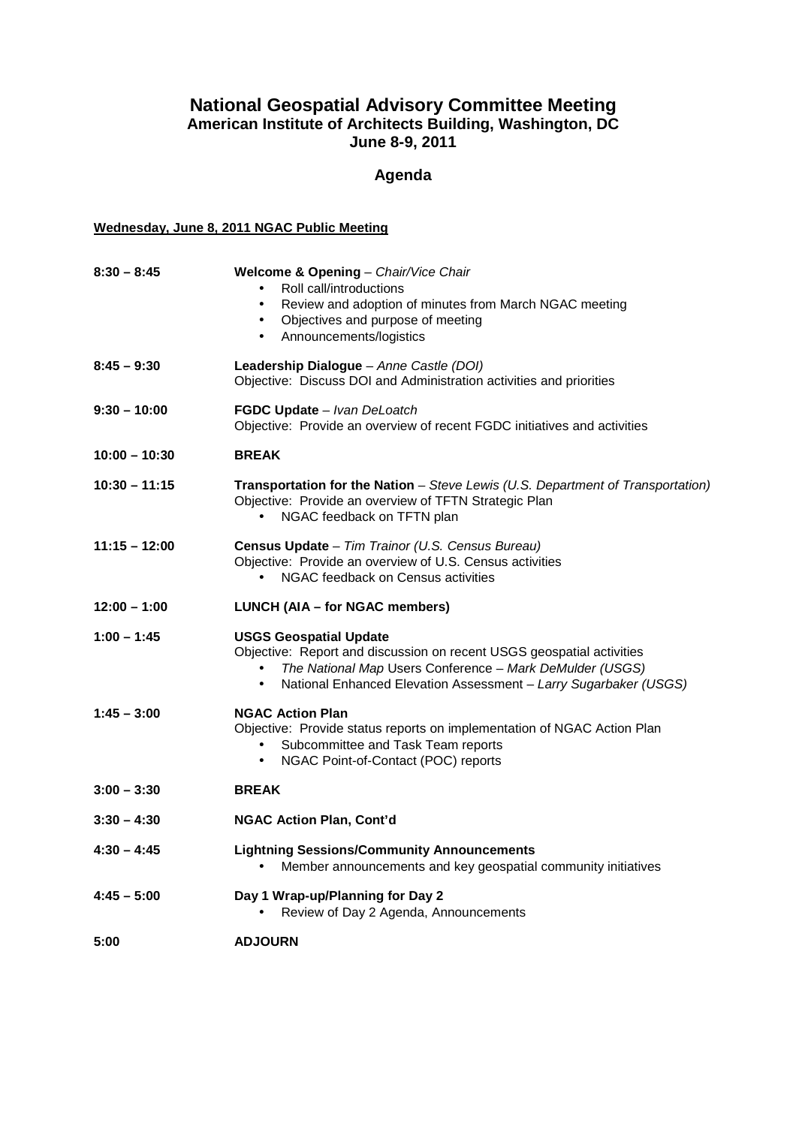## **National Geospatial Advisory Committee Meeting American Institute of Architects Building, Washington, DC June 8-9, 2011**

# **Agenda**

#### **Wednesday, June 8, 2011 NGAC Public Meeting**

| $8:30 - 8:45$   | Welcome & Opening - Chair/Vice Chair<br>Roll call/introductions<br>$\bullet$<br>Review and adoption of minutes from March NGAC meeting<br>$\bullet$<br>Objectives and purpose of meeting<br>$\bullet$<br>Announcements/logistics<br>$\bullet$       |
|-----------------|-----------------------------------------------------------------------------------------------------------------------------------------------------------------------------------------------------------------------------------------------------|
| $8:45 - 9:30$   | Leadership Dialogue - Anne Castle (DOI)<br>Objective: Discuss DOI and Administration activities and priorities                                                                                                                                      |
| $9:30 - 10:00$  | FGDC Update - Ivan DeLoatch<br>Objective: Provide an overview of recent FGDC initiatives and activities                                                                                                                                             |
| $10:00 - 10:30$ | <b>BREAK</b>                                                                                                                                                                                                                                        |
| $10:30 - 11:15$ | <b>Transportation for the Nation</b> – Steve Lewis (U.S. Department of Transportation)<br>Objective: Provide an overview of TFTN Strategic Plan<br>NGAC feedback on TFTN plan<br>$\bullet$                                                          |
| $11:15 - 12:00$ | Census Update - Tim Trainor (U.S. Census Bureau)<br>Objective: Provide an overview of U.S. Census activities<br>NGAC feedback on Census activities                                                                                                  |
| $12:00 - 1:00$  | LUNCH (AIA - for NGAC members)                                                                                                                                                                                                                      |
| $1:00 - 1:45$   | <b>USGS Geospatial Update</b><br>Objective: Report and discussion on recent USGS geospatial activities<br>The National Map Users Conference - Mark DeMulder (USGS)<br>National Enhanced Elevation Assessment - Larry Sugarbaker (USGS)<br>$\bullet$ |
| $1:45 - 3:00$   | <b>NGAC Action Plan</b><br>Objective: Provide status reports on implementation of NGAC Action Plan<br>Subcommittee and Task Team reports<br>NGAC Point-of-Contact (POC) reports<br>$\bullet$                                                        |
| $3:00 - 3:30$   | <b>BREAK</b>                                                                                                                                                                                                                                        |
| $3:30 - 4:30$   | <b>NGAC Action Plan, Cont'd</b>                                                                                                                                                                                                                     |
| $4:30 - 4:45$   | <b>Lightning Sessions/Community Announcements</b><br>Member announcements and key geospatial community initiatives<br>$\bullet$                                                                                                                     |
| $4:45 - 5:00$   | Day 1 Wrap-up/Planning for Day 2<br>Review of Day 2 Agenda, Announcements                                                                                                                                                                           |
| 5:00            | <b>ADJOURN</b>                                                                                                                                                                                                                                      |